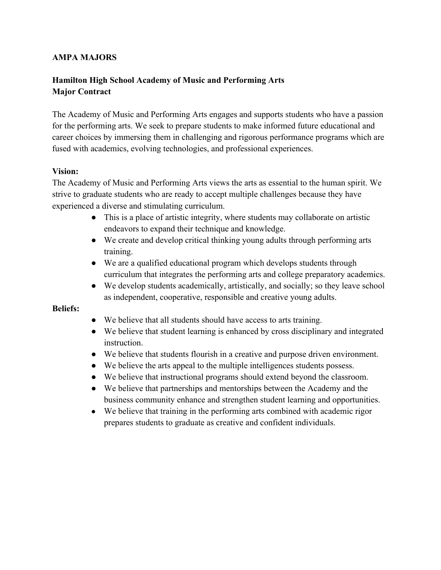## **AMPA MAJORS**

# **Hamilton High School Academy of Music and Performing Arts Major Contract**

The Academy of Music and Performing Arts engages and supports students who have a passion for the performing arts. We seek to prepare students to make informed future educational and career choices by immersing them in challenging and rigorous performance programs which are fused with academics, evolving technologies, and professional experiences.

## **Vision:**

The Academy of Music and Performing Arts views the arts as essential to the human spirit. We strive to graduate students who are ready to accept multiple challenges because they have experienced a diverse and stimulating curriculum.

- This is a place of artistic integrity, where students may collaborate on artistic endeavors to expand their technique and knowledge.
- We create and develop critical thinking young adults through performing arts training.
- We are a qualified educational program which develops students through curriculum that integrates the performing arts and college preparatory academics.
- We develop students academically, artistically, and socially; so they leave school as independent, cooperative, responsible and creative young adults.

## **Beliefs:**

- We believe that all students should have access to arts training.
- We believe that student learning is enhanced by cross disciplinary and integrated instruction.
- We believe that students flourish in a creative and purpose driven environment.
- We believe the arts appeal to the multiple intelligences students possess.
- We believe that instructional programs should extend beyond the classroom.
- We believe that partnerships and mentorships between the Academy and the business community enhance and strengthen student learning and opportunities.
- We believe that training in the performing arts combined with academic rigor prepares students to graduate as creative and confident individuals.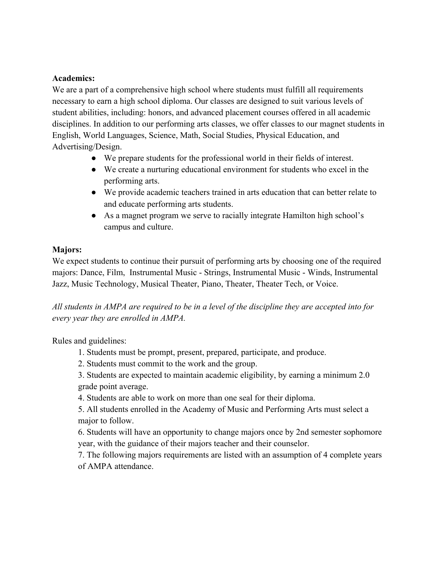## **Academics:**

We are a part of a comprehensive high school where students must fulfill all requirements necessary to earn a high school diploma. Our classes are designed to suit various levels of student abilities, including: honors, and advanced placement courses offered in all academic disciplines. In addition to our performing arts classes, we offer classes to our magnet students in English, World Languages, Science, Math, Social Studies, Physical Education, and Advertising/Design.

- We prepare students for the professional world in their fields of interest.
- We create a nurturing educational environment for students who excel in the performing arts.
- We provide academic teachers trained in arts education that can better relate to and educate performing arts students.
- As a magnet program we serve to racially integrate Hamilton high school's campus and culture.

## **Majors:**

We expect students to continue their pursuit of performing arts by choosing one of the required majors: Dance, Film, Instrumental Music - Strings, Instrumental Music - Winds, Instrumental Jazz, Music Technology, Musical Theater, Piano, Theater, Theater Tech, or Voice.

*All students in AMPA are required to be in a level of the discipline they are accepted into for every year they are enrolled in AMPA.*

Rules and guidelines:

- 1. Students must be prompt, present, prepared, participate, and produce.
- 2. Students must commit to the work and the group.

3. Students are expected to maintain academic eligibility, by earning a minimum 2.0 grade point average.

4. Students are able to work on more than one seal for their diploma.

5. All students enrolled in the Academy of Music and Performing Arts must select a major to follow.

6. Students will have an opportunity to change majors once by 2nd semester sophomore year, with the guidance of their majors teacher and their counselor.

7. The following majors requirements are listed with an assumption of 4 complete years of AMPA attendance.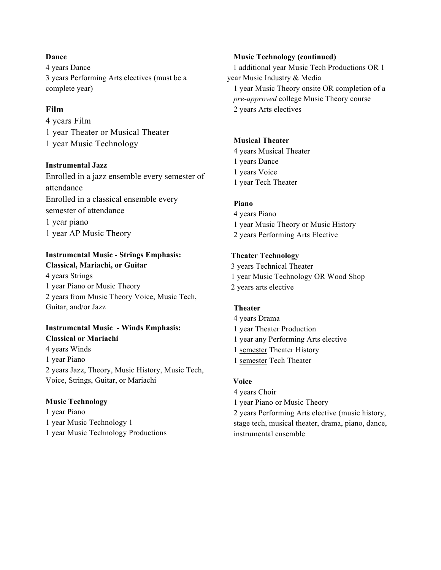#### **Dance**

4 years Dance 3 years Performing Arts electives (must be a complete year)

### **Film**

4 years Film 1 year Theater or Musical Theater 1 year Music Technology

#### **Instrumental Jazz**

Enrolled in a jazz ensemble every semester of attendance Enrolled in a classical ensemble every semester of attendance 1 year piano 1 year AP Music Theory

## **Instrumental Music - Strings Emphasis: Classical, Mariachi, or Guitar**

4 years Strings 1 year Piano or Music Theory 2 years from Music Theory Voice, Music Tech, Guitar, and/or Jazz

#### **Instrumental Music - Winds Emphasis: Classical or Mariachi**

4 years Winds 1 year Piano 2 years Jazz, Theory, Music History, Music Tech, Voice, Strings, Guitar, or Mariachi

## **Music Technology**

1 year Piano 1 year Music Technology 1 1 year Music Technology Productions

#### **Music Technology (continued)**

 1 additional year Music Tech Productions OR 1 year Music Industry & Media 1 year Music Theory onsite OR completion of a *pre-approved* college Music Theory course 2 years Arts electives

## **Musical Theater**

4 years Musical Theater 1 years Dance 1 years Voice 1 year Tech Theater

### **Piano**

4 years Piano 1 year Music Theory or Music History 2 years Performing Arts Elective

### **Theater Technology**

 3 years Technical Theater 1 year Music Technology OR Wood Shop 2 years arts elective

## **Theater**

4 years Drama 1 year Theater Production 1 year any Performing Arts elective 1 semester Theater History 1 semester Tech Theater

## **Voice**

4 years Choir 1 year Piano or Music Theory 2 years Performing Arts elective (music history, stage tech, musical theater, drama, piano, dance, instrumental ensemble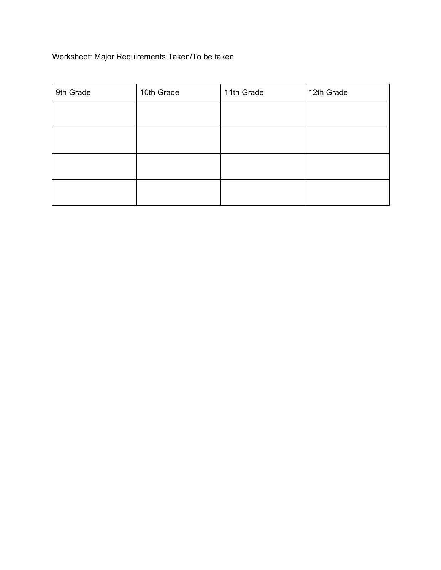# Worksheet: Major Requirements Taken/To be taken

| 9th Grade | 10th Grade | 11th Grade | 12th Grade |
|-----------|------------|------------|------------|
|           |            |            |            |
|           |            |            |            |
|           |            |            |            |
|           |            |            |            |